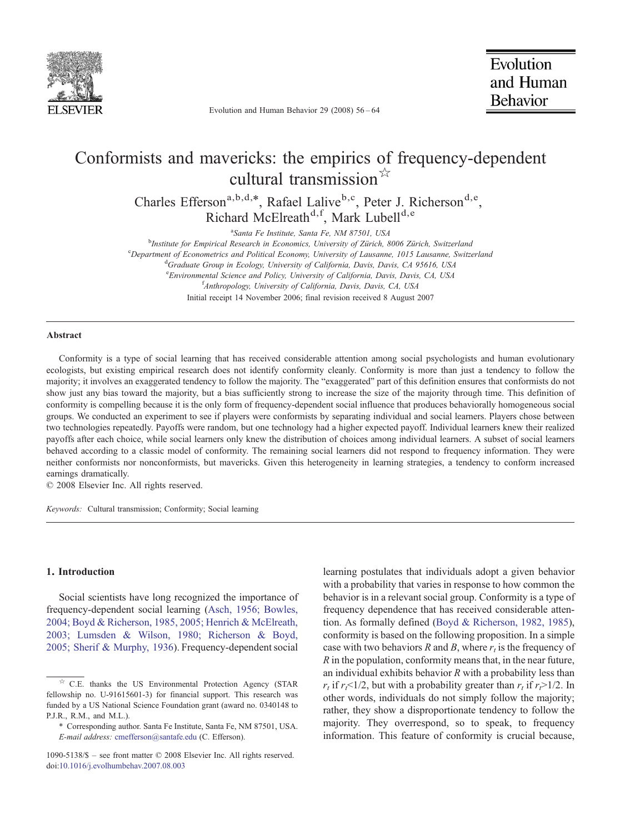

Evolution and Human Behavior 29 (2008) 56–64

# Conformists and mavericks: the empirics of frequency-dependent cultural transmission  $\hat{r}$

Charles Efferson<sup>a,b,d,\*</sup>, Rafael Lalive<sup>b,c</sup>, Peter J. Richerson<sup>d,e</sup>, Richard McElreath<sup>d,f</sup>, Mark Lubell<sup>d,e</sup>

<sup>a</sup>Santa Fe Institute, Santa Fe, NM 87501, USA

<sup>a</sup>Santa Fe Institute, Santa Fe, NM 87501, USA<br><sup>b</sup>Institute for Empirical Research in Economics, University of Zürich, 8006 Zürich, Switzerland

Expartment of Econometrics and Political Economy, University of Lausanne, 1015 Lausanne, Switzerland<br><sup>d</sup>Graduate Group in Ecology, University of California, Davis, Davis, CA 05616, USA

<sup>d</sup>Graduate Group in Ecology, University of California, Davis, Davis, CA 95616, USA

e Environmental Science and Policy, University of California, Davis, Davis, CA, USA

f Anthropology, University of California, Davis, Davis, CA, USA

Initial receipt 14 November 2006; final revision received 8 August 2007

#### Abstract

Conformity is a type of social learning that has received considerable attention among social psychologists and human evolutionary ecologists, but existing empirical research does not identify conformity cleanly. Conformity is more than just a tendency to follow the majority; it involves an exaggerated tendency to follow the majority. The "exaggerated" part of this definition ensures that conformists do not show just any bias toward the majority, but a bias sufficiently strong to increase the size of the majority through time. This definition of conformity is compelling because it is the only form of frequency-dependent social influence that produces behaviorally homogeneous social groups. We conducted an experiment to see if players were conformists by separating individual and social learners. Players chose between two technologies repeatedly. Payoffs were random, but one technology had a higher expected payoff. Individual learners knew their realized payoffs after each choice, while social learners only knew the distribution of choices among individual learners. A subset of social learners behaved according to a classic model of conformity. The remaining social learners did not respond to frequency information. They were neither conformists nor nonconformists, but mavericks. Given this heterogeneity in learning strategies, a tendency to conform increased earnings dramatically.

© 2008 Elsevier Inc. All rights reserved.

Keywords: Cultural transmission; Conformity; Social learning

# 1. Introduction

Social scientists have long recognized the importance of frequency-dependent social learning ([Asch, 1956; Bowles,](#page-8-0) [2004; Boyd & Richerson, 1985, 2005; Henrich & McElreath,](#page-8-0) [2003; Lumsden & Wilson, 1980; Richerson & Boyd,](#page-8-0) [2005; Sherif & Murphy, 1936\)](#page-8-0). Frequency-dependent social

learning postulates that individuals adopt a given behavior with a probability that varies in response to how common the behavior is in a relevant social group. Conformity is a type of frequency dependence that has received considerable attention. As formally defined [\(Boyd & Richerson, 1982, 1985](#page-8-0)), conformity is based on the following proposition. In a simple case with two behaviors R and B, where  $r<sub>t</sub>$  is the frequency of  $R$  in the population, conformity means that, in the near future, an individual exhibits behavior  $R$  with a probability less than  $r_t$  if  $r_t \leq 1/2$ , but with a probability greater than  $r_t$  if  $r > 1/2$ . In other words, individuals do not simply follow the majority; rather, they show a disproportionate tendency to follow the majority. They overrespond, so to speak, to frequency information. This feature of conformity is crucial because,

<sup>☆</sup> C.E. thanks the US Environmental Protection Agency (STAR fellowship no. U-91615601-3) for financial support. This research was funded by a US National Science Foundation grant (award no. 0340148 to P.J.R., R.M., and M.L.).

<sup>⁎</sup> Corresponding author. Santa Fe Institute, Santa Fe, NM 87501, USA. E-mail address: [cmefferson@santafe.edu](mailto:cmefferson@santafe.edu) (C. Efferson).

<sup>1090-5138/\$</sup> – see front matter © 2008 Elsevier Inc. All rights reserved. doi[:10.1016/j.evolhumbehav.2007.08.003](http://dx.doi.org/10.1016/j.evolhumbehav.2007.08.003)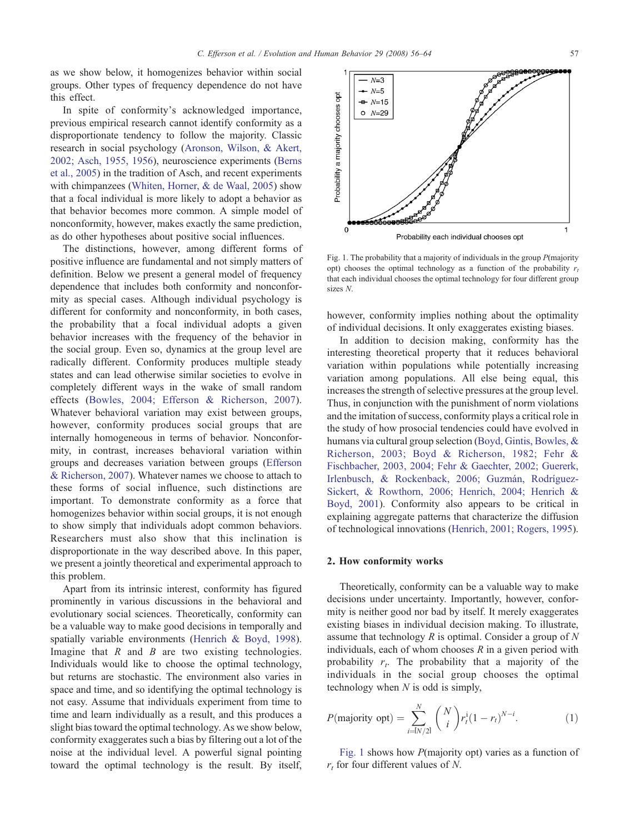as we show below, it homogenizes behavior within social groups. Other types of frequency dependence do not have this effect.

In spite of conformity's acknowledged importance, previous empirical research cannot identify conformity as a disproportionate tendency to follow the majority. Classic research in social psychology [\(Aronson, Wilson, & Akert,](#page-8-0) [2002; Asch, 1955, 1956](#page-8-0)), neuroscience experiments ([Berns](#page-8-0) [et al., 2005](#page-8-0)) in the tradition of Asch, and recent experiments with chimpanzees [\(Whiten, Horner, & de Waal, 2005\)](#page-8-0) show that a focal individual is more likely to adopt a behavior as that behavior becomes more common. A simple model of nonconformity, however, makes exactly the same prediction, as do other hypotheses about positive social influences.

The distinctions, however, among different forms of positive influence are fundamental and not simply matters of definition. Below we present a general model of frequency dependence that includes both conformity and nonconformity as special cases. Although individual psychology is different for conformity and nonconformity, in both cases, the probability that a focal individual adopts a given behavior increases with the frequency of the behavior in the social group. Even so, dynamics at the group level are radically different. Conformity produces multiple steady states and can lead otherwise similar societies to evolve in completely different ways in the wake of small random effects ([Bowles, 2004; Efferson & Richerson, 2007](#page-8-0)). Whatever behavioral variation may exist between groups, however, conformity produces social groups that are internally homogeneous in terms of behavior. Nonconformity, in contrast, increases behavioral variation within groups and decreases variation between groups [\(Efferson](#page-8-0) [& Richerson, 2007\)](#page-8-0). Whatever names we choose to attach to these forms of social influence, such distinctions are important. To demonstrate conformity as a force that homogenizes behavior within social groups, it is not enough to show simply that individuals adopt common behaviors. Researchers must also show that this inclination is disproportionate in the way described above. In this paper, we present a jointly theoretical and experimental approach to this problem.

Apart from its intrinsic interest, conformity has figured prominently in various discussions in the behavioral and evolutionary social sciences. Theoretically, conformity can be a valuable way to make good decisions in temporally and spatially variable environments ([Henrich & Boyd, 1998](#page-8-0)). Imagine that  $R$  and  $B$  are two existing technologies. Individuals would like to choose the optimal technology, but returns are stochastic. The environment also varies in space and time, and so identifying the optimal technology is not easy. Assume that individuals experiment from time to time and learn individually as a result, and this produces a slight bias toward the optimal technology. As we show below, conformity exaggerates such a bias by filtering out a lot of the noise at the individual level. A powerful signal pointing toward the optimal technology is the result. By itself,



Fig. 1. The probability that a majority of individuals in the group P(majority opt) chooses the optimal technology as a function of the probability  $r_t$ that each individual chooses the optimal technology for four different group sizes N.

however, conformity implies nothing about the optimality of individual decisions. It only exaggerates existing biases.

In addition to decision making, conformity has the interesting theoretical property that it reduces behavioral variation within populations while potentially increasing variation among populations. All else being equal, this increases the strength of selective pressures at the group level. Thus, in conjunction with the punishment of norm violations and the imitation of success, conformity plays a critical role in the study of how prosocial tendencies could have evolved in humans via cultural group selection [\(Boyd, Gintis, Bowles, &](#page-8-0) [Richerson, 2003; Boyd & Richerson, 1982; Fehr &](#page-8-0) [Fischbacher, 2003, 2004; Fehr & Gaechter, 2002; Guererk,](#page-8-0) [Irlenbusch, & Rockenback, 2006; Guzmán, Rodríguez-](#page-8-0)[Sickert, & Rowthorn, 2006; Henrich, 2004; Henrich &](#page-8-0) [Boyd, 2001\)](#page-8-0). Conformity also appears to be critical in explaining aggregate patterns that characterize the diffusion of technological innovations [\(Henrich, 2001; Rogers, 1995](#page-8-0)).

### 2. How conformity works

Theoretically, conformity can be a valuable way to make decisions under uncertainty. Importantly, however, conformity is neither good nor bad by itself. It merely exaggerates existing biases in individual decision making. To illustrate, assume that technology  $R$  is optimal. Consider a group of  $N$ individuals, each of whom chooses  $R$  in a given period with probability  $r_t$ . The probability that a majority of the individuals in the social group chooses the optimal technology when  $N$  is odd is simply,

$$
P(\text{majority opt}) = \sum_{i=1 \ N/2!}^{N} {N \choose i} r_i^i (1 - r_i)^{N-i}.
$$
 (1)

Fig. 1 shows how P(majority opt) varies as a function of  $r_t$  for four different values of N.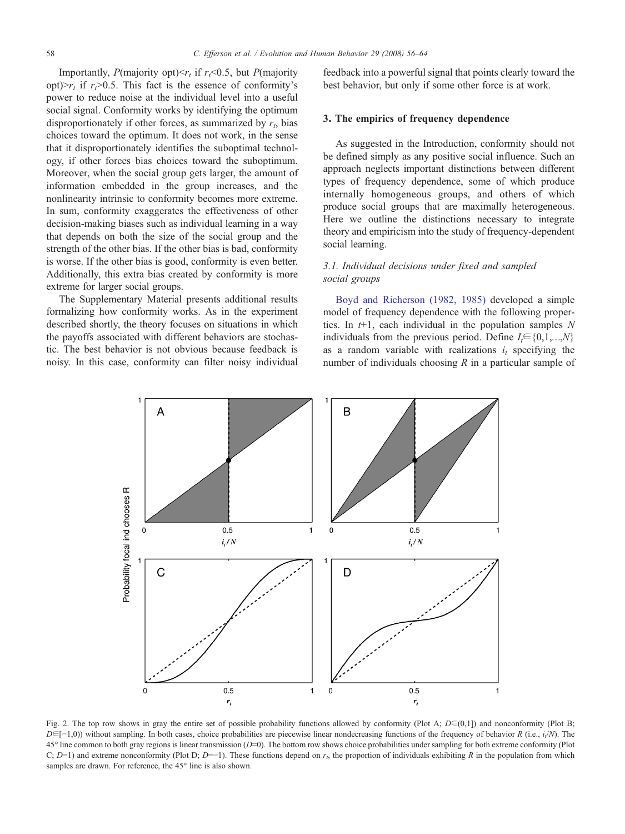<span id="page-2-0"></span>Importantly, P(majority opt) $\leq r_t$  if  $r_t \leq 0.5$ , but P(majority opt) $>r_t$  if  $r_t > 0.5$ . This fact is the essence of conformity's power to reduce noise at the individual level into a useful social signal. Conformity works by identifying the optimum disproportionately if other forces, as summarized by  $r_t$ , bias choices toward the optimum. It does not work, in the sense that it disproportionately identifies the suboptimal technology, if other forces bias choices toward the suboptimum. Moreover, when the social group gets larger, the amount of information embedded in the group increases, and the nonlinearity intrinsic to conformity becomes more extreme. In sum, conformity exaggerates the effectiveness of other decision-making biases such as individual learning in a way that depends on both the size of the social group and the strength of the other bias. If the other bias is bad, conformity is worse. If the other bias is good, conformity is even better. Additionally, this extra bias created by conformity is more extreme for larger social groups.

The Supplementary Material presents additional results formalizing how conformity works. As in the experiment described shortly, the theory focuses on situations in which the payoffs associated with different behaviors are stochastic. The best behavior is not obvious because feedback is noisy. In this case, conformity can filter noisy individual

feedback into a powerful signal that points clearly toward the best behavior, but only if some other force is at work.

# 3. The empirics of frequency dependence

As suggested in the Introduction, conformity should not be defined simply as any positive social influence. Such an approach neglects important distinctions between different types of frequency dependence, some of which produce internally homogeneous groups, and others of which produce social groups that are maximally heterogeneous. Here we outline the distinctions necessary to integrate theory and empiricism into the study of frequency-dependent social learning.

# 3.1. Individual decisions under fixed and sampled social groups

[Boyd and Richerson \(1982, 1985\)](#page-8-0) developed a simple model of frequency dependence with the following properties. In  $t+1$ , each individual in the population samples N individuals from the previous period. Define  $I_t \in \{0,1,...,N\}$ as a random variable with realizations  $i_t$  specifying the number of individuals choosing  $R$  in a particular sample of



Fig. 2. The top row shows in gray the entire set of possible probability functions allowed by conformity (Plot A;  $D \in (0,1]$ ) and nonconformity (Plot B;  $D \in [-1,0)$ ) without sampling. In both cases, choice probabilities are piecewise linear nondecreasing functions of the frequency of behavior R (i.e.,  $i/N$ ). The  $45^\circ$  line common to both gray regions is linear transmission ( $D=0$ ). The bottom row shows choice probabilities under sampling for both extreme conformity (Plot C; D=1) and extreme nonconformity (Plot D; D=-1). These functions depend on  $r<sub>t</sub>$ , the proportion of individuals exhibiting R in the population from which samples are drawn. For reference, the 45° line is also shown.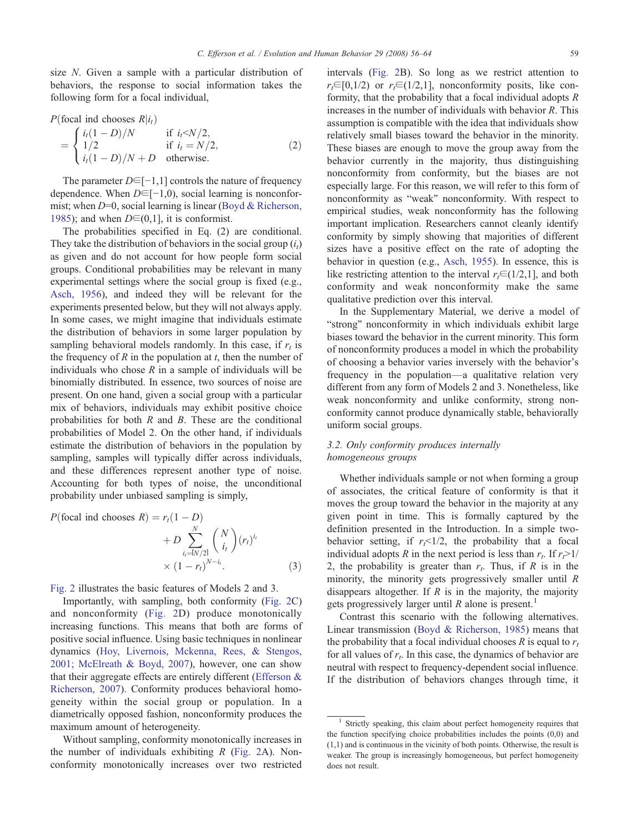size N. Given a sample with a particular distribution of behaviors, the response to social information takes the following form for a focal individual,

$$
P(\text{focal ind chooses } R|i_t)
$$
\n
$$
= \begin{cases}\n i_t(1 - D)/N & \text{if } i_t < N/2, \\
1/2 & \text{if } i_t = N/2, \\
i_t(1 - D)/N + D & \text{otherwise.} \n\end{cases}
$$
\n(2)

The parameter  $D \in [-1,1]$  controls the nature of frequency dependence. When  $D \in [-1,0)$ , social learning is nonconformist; when  $D=0$ , social learning is linear ([Boyd & Richerson,](#page-8-0) [1985\)](#page-8-0); and when  $D \in (0,1]$ , it is conformist.

The probabilities specified in Eq. (2) are conditional. They take the distribution of behaviors in the social group  $(i<sub>t</sub>)$ as given and do not account for how people form social groups. Conditional probabilities may be relevant in many experimental settings where the social group is fixed (e.g., [Asch, 1956\)](#page-8-0), and indeed they will be relevant for the experiments presented below, but they will not always apply. In some cases, we might imagine that individuals estimate the distribution of behaviors in some larger population by sampling behavioral models randomly. In this case, if  $r_t$  is the frequency of  $R$  in the population at  $t$ , then the number of individuals who chose  $R$  in a sample of individuals will be binomially distributed. In essence, two sources of noise are present. On one hand, given a social group with a particular mix of behaviors, individuals may exhibit positive choice probabilities for both  $R$  and  $B$ . These are the conditional probabilities of Model 2. On the other hand, if individuals estimate the distribution of behaviors in the population by sampling, samples will typically differ across individuals, and these differences represent another type of noise. Accounting for both types of noise, the unconditional probability under unbiased sampling is simply,

$$
P(\text{focal ind chooses } R) = r_t(1 - D)
$$
  
+ 
$$
D \sum_{i_l = N/2!}^{N} {N \choose i_l} (r_l)^{i_l}
$$
  
× 
$$
(1 - r_t)^{N - i_l}.
$$
 (3)

[Fig. 2](#page-2-0) illustrates the basic features of Models 2 and 3.

Importantly, with sampling, both conformity ([Fig. 2](#page-2-0)C) and nonconformity ([Fig. 2D](#page-2-0)) produce monotonically increasing functions. This means that both are forms of positive social influence. Using basic techniques in nonlinear dynamics ([Hoy, Livernois, Mckenna, Rees, & Stengos,](#page-8-0) [2001; McElreath & Boyd, 2007\)](#page-8-0), however, one can show that their aggregate effects are entirely different ([Efferson &](#page-8-0) [Richerson, 2007\)](#page-8-0). Conformity produces behavioral homogeneity within the social group or population. In a diametrically opposed fashion, nonconformity produces the maximum amount of heterogeneity.

Without sampling, conformity monotonically increases in the number of individuals exhibiting  $R$  ([Fig. 2](#page-2-0)A). Nonconformity monotonically increases over two restricted

intervals ([Fig. 2](#page-2-0)B). So long as we restrict attention to  $r_t \in [0,1/2)$  or  $r_t \in (1/2,1]$ , nonconformity posits, like conformity, that the probability that a focal individual adopts  $R$ increases in the number of individuals with behavior R. This assumption is compatible with the idea that individuals show relatively small biases toward the behavior in the minority. These biases are enough to move the group away from the behavior currently in the majority, thus distinguishing nonconformity from conformity, but the biases are not especially large. For this reason, we will refer to this form of nonconformity as "weak" nonconformity. With respect to empirical studies, weak nonconformity has the following important implication. Researchers cannot cleanly identify conformity by simply showing that majorities of different sizes have a positive effect on the rate of adopting the behavior in question (e.g., [Asch, 1955\)](#page-8-0). In essence, this is like restricting attention to the interval  $r_t \in (1/2,1]$ , and both conformity and weak nonconformity make the same qualitative prediction over this interval.

In the Supplementary Material, we derive a model of "strong" nonconformity in which individuals exhibit large biases toward the behavior in the current minority. This form of nonconformity produces a model in which the probability of choosing a behavior varies inversely with the behavior's frequency in the population—a qualitative relation very different from any form of Models 2 and 3. Nonetheless, like weak nonconformity and unlike conformity, strong nonconformity cannot produce dynamically stable, behaviorally uniform social groups.

# 3.2. Only conformity produces internally homogeneous groups

Whether individuals sample or not when forming a group of associates, the critical feature of conformity is that it moves the group toward the behavior in the majority at any given point in time. This is formally captured by the definition presented in the Introduction. In a simple twobehavior setting, if  $r_f<1/2$ , the probability that a focal individual adopts R in the next period is less than  $r_t$ . If  $r_t>1/$ 2, the probability is greater than  $r_t$ . Thus, if R is in the minority, the minority gets progressively smaller until R disappears altogether. If  $R$  is in the majority, the majority gets progressively larger until  $R$  alone is present.<sup>1</sup>

Contrast this scenario with the following alternatives. Linear transmission ([Boyd & Richerson, 1985\)](#page-8-0) means that the probability that a focal individual chooses  $R$  is equal to  $r_t$ for all values of  $r_t$ . In this case, the dynamics of behavior are neutral with respect to frequency-dependent social influence. If the distribution of behaviors changes through time, it

<sup>&</sup>lt;sup>1</sup> Strictly speaking, this claim about perfect homogeneity requires that the function specifying choice probabilities includes the points (0,0) and (1,1) and is continuous in the vicinity of both points. Otherwise, the result is weaker. The group is increasingly homogeneous, but perfect homogeneity does not result.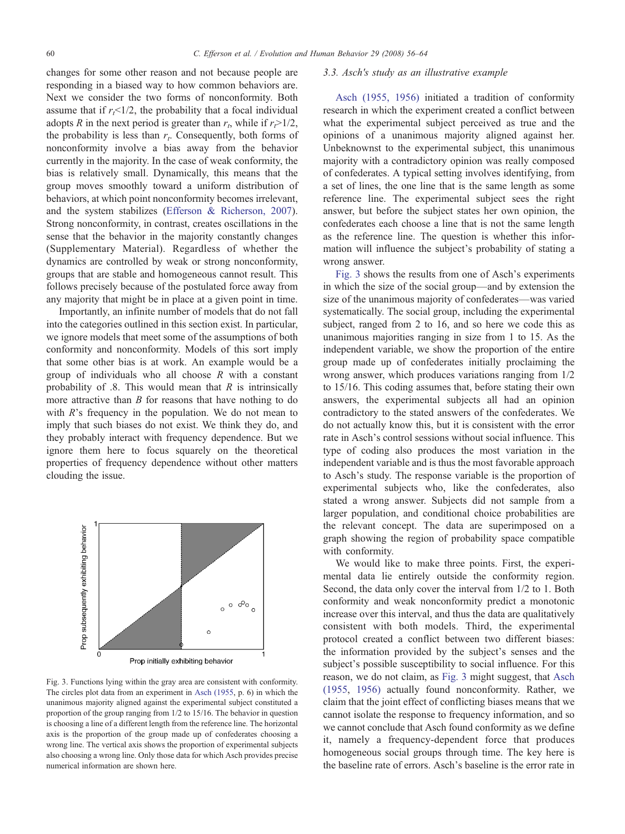changes for some other reason and not because people are responding in a biased way to how common behaviors are. Next we consider the two forms of nonconformity. Both assume that if  $r<sub>t</sub> < 1/2$ , the probability that a focal individual adopts R in the next period is greater than  $r_t$ , while if  $r_t>1/2$ , the probability is less than  $r_t$ . Consequently, both forms of nonconformity involve a bias away from the behavior currently in the majority. In the case of weak conformity, the bias is relatively small. Dynamically, this means that the group moves smoothly toward a uniform distribution of behaviors, at which point nonconformity becomes irrelevant, and the system stabilizes [\(Efferson & Richerson, 2007](#page-8-0)). Strong nonconformity, in contrast, creates oscillations in the sense that the behavior in the majority constantly changes (Supplementary Material). Regardless of whether the dynamics are controlled by weak or strong nonconformity, groups that are stable and homogeneous cannot result. This follows precisely because of the postulated force away from any majority that might be in place at a given point in time.

Importantly, an infinite number of models that do not fall into the categories outlined in this section exist. In particular, we ignore models that meet some of the assumptions of both conformity and nonconformity. Models of this sort imply that some other bias is at work. An example would be a group of individuals who all choose  $R$  with a constant probability of  $.8$ . This would mean that  $R$  is intrinsically more attractive than  $B$  for reasons that have nothing to do with  $R$ 's frequency in the population. We do not mean to imply that such biases do not exist. We think they do, and they probably interact with frequency dependence. But we ignore them here to focus squarely on the theoretical properties of frequency dependence without other matters clouding the issue.



Fig. 3. Functions lying within the gray area are consistent with conformity. The circles plot data from an experiment in [Asch \(1955,](#page-8-0) p. 6) in which the unanimous majority aligned against the experimental subject constituted a proportion of the group ranging from 1/2 to 15/16. The behavior in question is choosing a line of a different length from the reference line. The horizontal axis is the proportion of the group made up of confederates choosing a wrong line. The vertical axis shows the proportion of experimental subjects also choosing a wrong line. Only those data for which Asch provides precise numerical information are shown here.

#### 3.3. Asch's study as an illustrative example

[Asch \(1955, 1956\)](#page-8-0) initiated a tradition of conformity research in which the experiment created a conflict between what the experimental subject perceived as true and the opinions of a unanimous majority aligned against her. Unbeknownst to the experimental subject, this unanimous majority with a contradictory opinion was really composed of confederates. A typical setting involves identifying, from a set of lines, the one line that is the same length as some reference line. The experimental subject sees the right answer, but before the subject states her own opinion, the confederates each choose a line that is not the same length as the reference line. The question is whether this information will influence the subject's probability of stating a wrong answer.

Fig. 3 shows the results from one of Asch's experiments in which the size of the social group—and by extension the size of the unanimous majority of confederates—was varied systematically. The social group, including the experimental subject, ranged from 2 to 16, and so here we code this as unanimous majorities ranging in size from 1 to 15. As the independent variable, we show the proportion of the entire group made up of confederates initially proclaiming the wrong answer, which produces variations ranging from 1/2 to 15/16. This coding assumes that, before stating their own answers, the experimental subjects all had an opinion contradictory to the stated answers of the confederates. We do not actually know this, but it is consistent with the error rate in Asch's control sessions without social influence. This type of coding also produces the most variation in the independent variable and is thus the most favorable approach to Asch's study. The response variable is the proportion of experimental subjects who, like the confederates, also stated a wrong answer. Subjects did not sample from a larger population, and conditional choice probabilities are the relevant concept. The data are superimposed on a graph showing the region of probability space compatible with conformity.

We would like to make three points. First, the experimental data lie entirely outside the conformity region. Second, the data only cover the interval from 1/2 to 1. Both conformity and weak nonconformity predict a monotonic increase over this interval, and thus the data are qualitatively consistent with both models. Third, the experimental protocol created a conflict between two different biases: the information provided by the subject's senses and the subject's possible susceptibility to social influence. For this reason, we do not claim, as Fig. 3 might suggest, that [Asch](#page-8-0) [\(1955](#page-8-0), [1956\)](#page-8-0) actually found nonconformity. Rather, we claim that the joint effect of conflicting biases means that we cannot isolate the response to frequency information, and so we cannot conclude that Asch found conformity as we define it, namely a frequency-dependent force that produces homogeneous social groups through time. The key here is the baseline rate of errors. Asch's baseline is the error rate in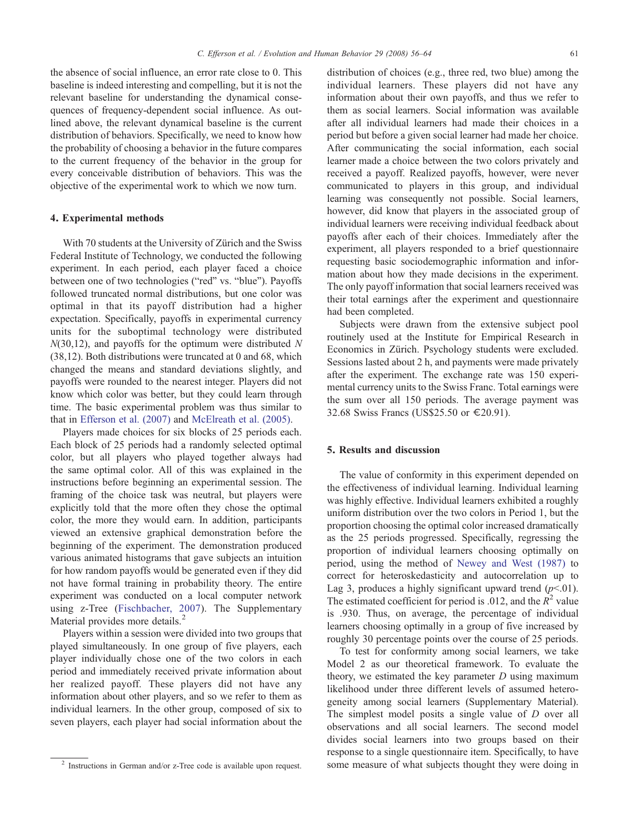the absence of social influence, an error rate close to 0. This baseline is indeed interesting and compelling, but it is not the relevant baseline for understanding the dynamical consequences of frequency-dependent social influence. As outlined above, the relevant dynamical baseline is the current distribution of behaviors. Specifically, we need to know how the probability of choosing a behavior in the future compares to the current frequency of the behavior in the group for every conceivable distribution of behaviors. This was the objective of the experimental work to which we now turn.

# 4. Experimental methods

With 70 students at the University of Zürich and the Swiss Federal Institute of Technology, we conducted the following experiment. In each period, each player faced a choice between one of two technologies ("red" vs. "blue"). Payoffs followed truncated normal distributions, but one color was optimal in that its payoff distribution had a higher expectation. Specifically, payoffs in experimental currency units for the suboptimal technology were distributed  $N(30,12)$ , and payoffs for the optimum were distributed N (38,12). Both distributions were truncated at 0 and 68, which changed the means and standard deviations slightly, and payoffs were rounded to the nearest integer. Players did not know which color was better, but they could learn through time. The basic experimental problem was thus similar to that in [Efferson et al. \(2007\)](#page-8-0) and [McElreath et al. \(2005\).](#page-8-0)

Players made choices for six blocks of 25 periods each. Each block of 25 periods had a randomly selected optimal color, but all players who played together always had the same optimal color. All of this was explained in the instructions before beginning an experimental session. The framing of the choice task was neutral, but players were explicitly told that the more often they chose the optimal color, the more they would earn. In addition, participants viewed an extensive graphical demonstration before the beginning of the experiment. The demonstration produced various animated histograms that gave subjects an intuition for how random payoffs would be generated even if they did not have formal training in probability theory. The entire experiment was conducted on a local computer network using z-Tree [\(Fischbacher, 2007\)](#page-8-0). The Supplementary Material provides more details.<sup>2</sup>

Players within a session were divided into two groups that played simultaneously. In one group of five players, each player individually chose one of the two colors in each period and immediately received private information about her realized payoff. These players did not have any information about other players, and so we refer to them as individual learners. In the other group, composed of six to seven players, each player had social information about the distribution of choices (e.g., three red, two blue) among the individual learners. These players did not have any information about their own payoffs, and thus we refer to them as social learners. Social information was available after all individual learners had made their choices in a period but before a given social learner had made her choice. After communicating the social information, each social learner made a choice between the two colors privately and received a payoff. Realized payoffs, however, were never communicated to players in this group, and individual learning was consequently not possible. Social learners, however, did know that players in the associated group of individual learners were receiving individual feedback about payoffs after each of their choices. Immediately after the experiment, all players responded to a brief questionnaire requesting basic sociodemographic information and information about how they made decisions in the experiment. The only payoff information that social learners received was their total earnings after the experiment and questionnaire had been completed.

Subjects were drawn from the extensive subject pool routinely used at the Institute for Empirical Research in Economics in Zürich. Psychology students were excluded. Sessions lasted about 2 h, and payments were made privately after the experiment. The exchange rate was 150 experimental currency units to the Swiss Franc. Total earnings were the sum over all 150 periods. The average payment was 32.68 Swiss Francs (US\$25.50 or €20.91).

## 5. Results and discussion

The value of conformity in this experiment depended on the effectiveness of individual learning. Individual learning was highly effective. Individual learners exhibited a roughly uniform distribution over the two colors in Period 1, but the proportion choosing the optimal color increased dramatically as the 25 periods progressed. Specifically, regressing the proportion of individual learners choosing optimally on period, using the method of [Newey and West \(1987\)](#page-8-0) to correct for heteroskedasticity and autocorrelation up to Lag 3, produces a highly significant upward trend  $(p<01)$ . The estimated coefficient for period is .012, and the  $R^2$  value is .930. Thus, on average, the percentage of individual learners choosing optimally in a group of five increased by roughly 30 percentage points over the course of 25 periods.

To test for conformity among social learners, we take Model 2 as our theoretical framework. To evaluate the theory, we estimated the key parameter  $D$  using maximum likelihood under three different levels of assumed heterogeneity among social learners (Supplementary Material). The simplest model posits a single value of D over all observations and all social learners. The second model divides social learners into two groups based on their response to a single questionnaire item. Specifically, to have <sup>2</sup> Instructions in German and/or z-Tree code is available upon request. Some measure of what subjects thought they were doing in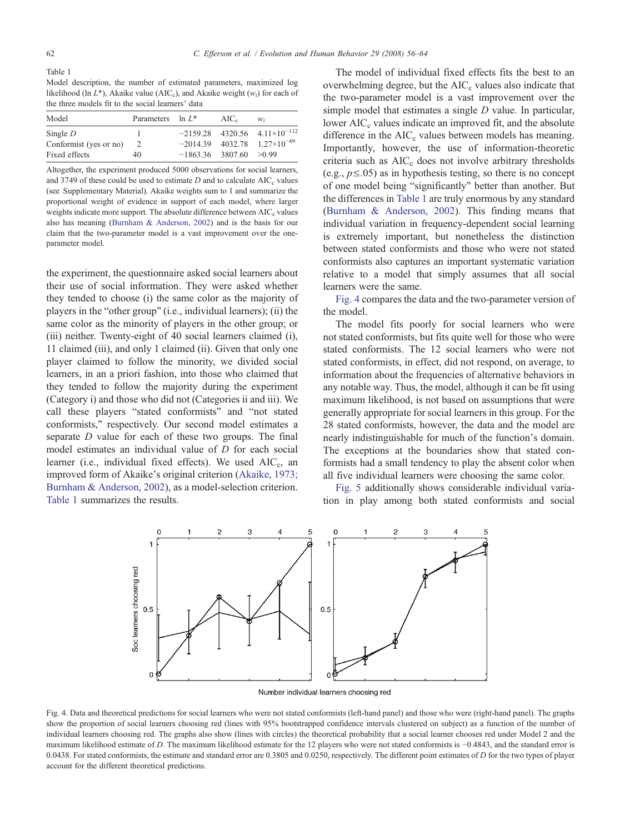Table 1 Model description, the number of estimated parameters, maximized log likelihood (ln  $L^*$ ), Akaike value (AIC<sub>c</sub>), and Akaike weight ( $w_i$ ) for each of the three models fit to the social learners' data

| Model                  | Parameters $\ln L^*$ |                            | $AIC_c$ | W:                                         |
|------------------------|----------------------|----------------------------|---------|--------------------------------------------|
| Single $D$             |                      |                            |         | $-2159.28$ 4320.56 4.11×10 <sup>-112</sup> |
| Conformist (yes or no) | 2                    |                            |         | $-2014.39$ 4032.78 1.27×10 <sup>-49</sup>  |
| Fixed effects          |                      | $-1863.36$ 3807.60 $>0.99$ |         |                                            |

Altogether, the experiment produced 5000 observations for social learners, and 3749 of these could be used to estimate  $D$  and to calculate  $AIC_c$  values (see Supplementary Material). Akaike weights sum to 1 and summarize the proportional weight of evidence in support of each model, where larger weights indicate more support. The absolute difference between AIC<sub>c</sub> values also has meaning [\(Burnham & Anderson, 2002](#page-8-0)) and is the basis for our claim that the two-parameter model is a vast improvement over the oneparameter model.

the experiment, the questionnaire asked social learners about their use of social information. They were asked whether they tended to choose (i) the same color as the majority of players in the "other group" (i.e., individual learners); (ii) the same color as the minority of players in the other group; or (iii) neither. Twenty-eight of 40 social learners claimed (i), 11 claimed (iii), and only 1 claimed (ii). Given that only one player claimed to follow the minority, we divided social learners, in an a priori fashion, into those who claimed that they tended to follow the majority during the experiment (Category i) and those who did not (Categories ii and iii). We call these players "stated conformists" and "not stated conformists," respectively. Our second model estimates a separate D value for each of these two groups. The final model estimates an individual value of D for each social learner (i.e., individual fixed effects). We used AIC<sub>c</sub>, an improved form of Akaike's original criterion ([Akaike, 1973;](#page-8-0) [Burnham & Anderson, 2002\)](#page-8-0), as a model-selection criterion. Table 1 summarizes the results.

The model of individual fixed effects fits the best to an overwhelming degree, but the  $AIC_c$  values also indicate that the two-parameter model is a vast improvement over the simple model that estimates a single *D* value. In particular, lower  $AIC_c$  values indicate an improved fit, and the absolute difference in the  $AIC_c$  values between models has meaning. Importantly, however, the use of information-theoretic criteria such as AIC<sub>c</sub> does not involve arbitrary thresholds (e.g.,  $p \le 0.05$ ) as in hypothesis testing, so there is no concept of one model being "significantly" better than another. But the differences in Table 1 are truly enormous by any standard [\(Burnham & Anderson, 2002](#page-8-0)). This finding means that individual variation in frequency-dependent social learning is extremely important, but nonetheless the distinction between stated conformists and those who were not stated conformists also captures an important systematic variation relative to a model that simply assumes that all social learners were the same.

Fig. 4 compares the data and the two-parameter version of the model.

The model fits poorly for social learners who were not stated conformists, but fits quite well for those who were stated conformists. The 12 social learners who were not stated conformists, in effect, did not respond, on average, to information about the frequencies of alternative behaviors in any notable way. Thus, the model, although it can be fit using maximum likelihood, is not based on assumptions that were generally appropriate for social learners in this group. For the 28 stated conformists, however, the data and the model are nearly indistinguishable for much of the function's domain. The exceptions at the boundaries show that stated conformists had a small tendency to play the absent color when all five individual learners were choosing the same color.

[Fig. 5](#page-7-0) additionally shows considerable individual variation in play among both stated conformists and social



Number individual learners choosing red

Fig. 4. Data and theoretical predictions for social learners who were not stated conformists (left-hand panel) and those who were (right-hand panel). The graphs show the proportion of social learners choosing red (lines with 95% bootstrapped confidence intervals clustered on subject) as a function of the number of individual learners choosing red. The graphs also show (lines with circles) the theoretical probability that a social learner chooses red under Model 2 and the maximum likelihood estimate of D. The maximum likelihood estimate for the 12 players who were not stated conformists is −0.4843, and the standard error is 0.0438. For stated conformists, the estimate and standard error are  $0.3805$  and  $0.0250$ , respectively. The different point estimates of D for the two types of player account for the different theoretical predictions.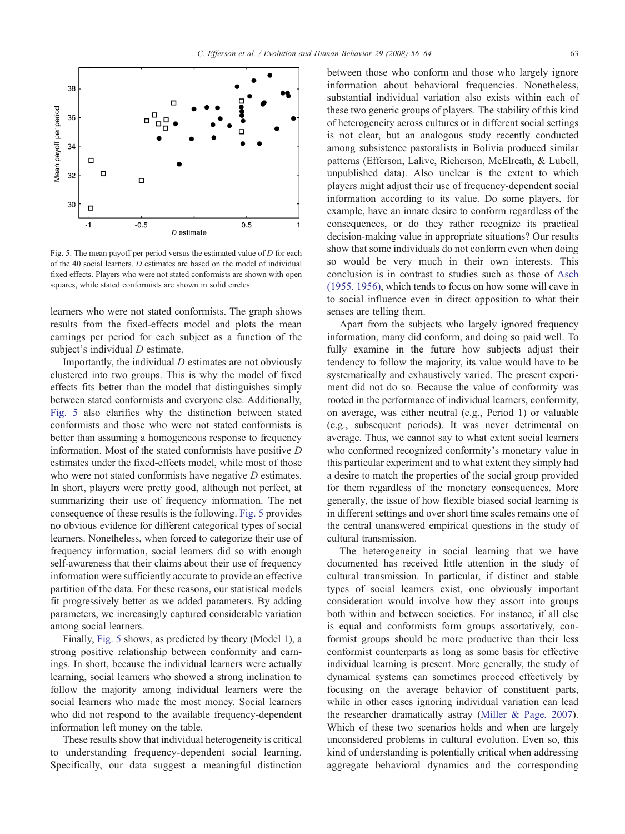<span id="page-7-0"></span>

Fig. 5. The mean payoff per period versus the estimated value of  $D$  for each of the 40 social learners. D estimates are based on the model of individual fixed effects. Players who were not stated conformists are shown with open squares, while stated conformists are shown in solid circles.

learners who were not stated conformists. The graph shows results from the fixed-effects model and plots the mean earnings per period for each subject as a function of the subject's individual *D* estimate.

Importantly, the individual  $D$  estimates are not obviously clustered into two groups. This is why the model of fixed effects fits better than the model that distinguishes simply between stated conformists and everyone else. Additionally, Fig. 5 also clarifies why the distinction between stated conformists and those who were not stated conformists is better than assuming a homogeneous response to frequency information. Most of the stated conformists have positive D estimates under the fixed-effects model, while most of those who were not stated conformists have negative *D* estimates. In short, players were pretty good, although not perfect, at summarizing their use of frequency information. The net consequence of these results is the following. Fig. 5 provides no obvious evidence for different categorical types of social learners. Nonetheless, when forced to categorize their use of frequency information, social learners did so with enough self-awareness that their claims about their use of frequency information were sufficiently accurate to provide an effective partition of the data. For these reasons, our statistical models fit progressively better as we added parameters. By adding parameters, we increasingly captured considerable variation among social learners.

Finally, Fig. 5 shows, as predicted by theory (Model 1), a strong positive relationship between conformity and earnings. In short, because the individual learners were actually learning, social learners who showed a strong inclination to follow the majority among individual learners were the social learners who made the most money. Social learners who did not respond to the available frequency-dependent information left money on the table.

These results show that individual heterogeneity is critical to understanding frequency-dependent social learning. Specifically, our data suggest a meaningful distinction

between those who conform and those who largely ignore information about behavioral frequencies. Nonetheless, substantial individual variation also exists within each of these two generic groups of players. The stability of this kind of heterogeneity across cultures or in different social settings is not clear, but an analogous study recently conducted among subsistence pastoralists in Bolivia produced similar patterns (Efferson, Lalive, Richerson, McElreath, & Lubell, unpublished data). Also unclear is the extent to which players might adjust their use of frequency-dependent social information according to its value. Do some players, for example, have an innate desire to conform regardless of the consequences, or do they rather recognize its practical decision-making value in appropriate situations? Our results show that some individuals do not conform even when doing so would be very much in their own interests. This conclusion is in contrast to studies such as those of [Asch](#page-8-0) [\(1955, 1956\),](#page-8-0) which tends to focus on how some will cave in to social influence even in direct opposition to what their senses are telling them.

Apart from the subjects who largely ignored frequency information, many did conform, and doing so paid well. To fully examine in the future how subjects adjust their tendency to follow the majority, its value would have to be systematically and exhaustively varied. The present experiment did not do so. Because the value of conformity was rooted in the performance of individual learners, conformity, on average, was either neutral (e.g., Period 1) or valuable (e.g., subsequent periods). It was never detrimental on average. Thus, we cannot say to what extent social learners who conformed recognized conformity's monetary value in this particular experiment and to what extent they simply had a desire to match the properties of the social group provided for them regardless of the monetary consequences. More generally, the issue of how flexible biased social learning is in different settings and over short time scales remains one of the central unanswered empirical questions in the study of cultural transmission.

The heterogeneity in social learning that we have documented has received little attention in the study of cultural transmission. In particular, if distinct and stable types of social learners exist, one obviously important consideration would involve how they assort into groups both within and between societies. For instance, if all else is equal and conformists form groups assortatively, conformist groups should be more productive than their less conformist counterparts as long as some basis for effective individual learning is present. More generally, the study of dynamical systems can sometimes proceed effectively by focusing on the average behavior of constituent parts, while in other cases ignoring individual variation can lead the researcher dramatically astray ([Miller & Page, 2007](#page-8-0)). Which of these two scenarios holds and when are largely unconsidered problems in cultural evolution. Even so, this kind of understanding is potentially critical when addressing aggregate behavioral dynamics and the corresponding